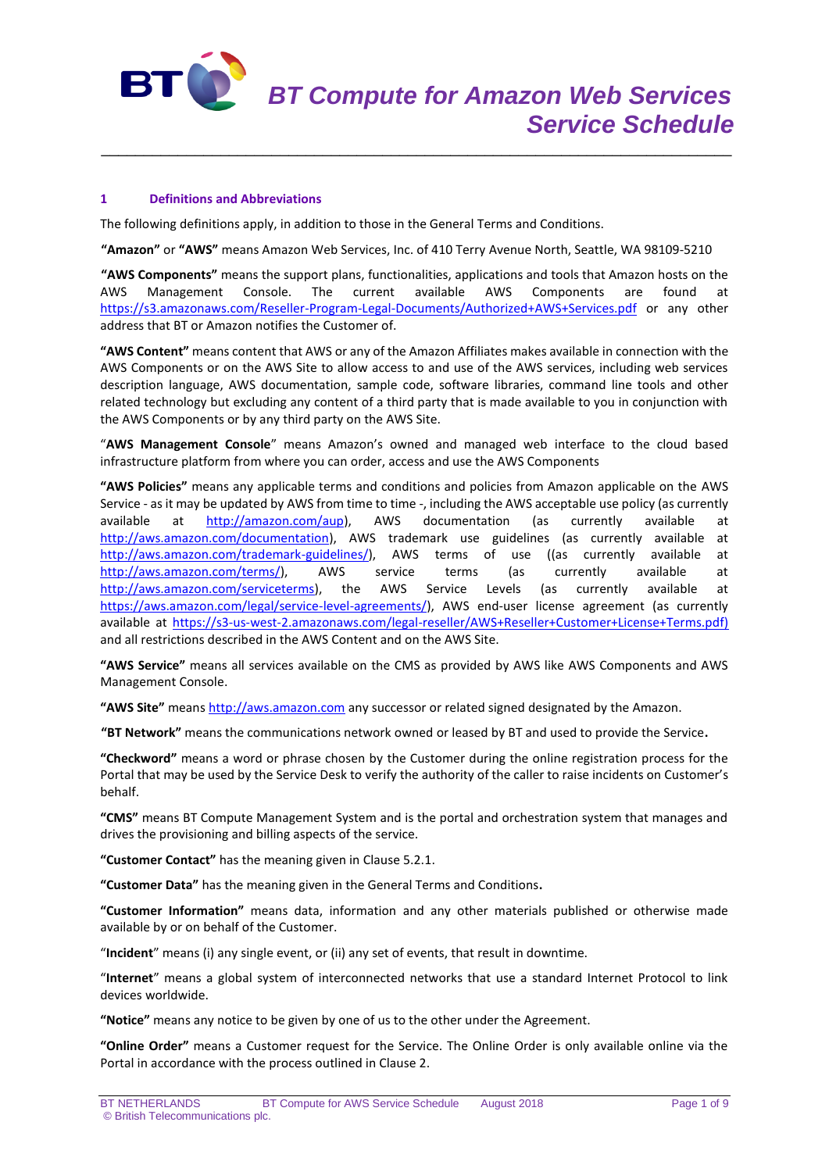

# **1 Definitions and Abbreviations**

The following definitions apply, in addition to those in the General Terms and Conditions.

**"Amazon"** or **"AWS"** means Amazon Web Services, Inc. of 410 Terry Avenue North, Seattle, WA 98109-5210

\_\_\_\_\_\_\_\_\_\_\_\_\_\_\_\_\_\_\_\_\_\_\_\_\_\_\_\_\_\_\_\_\_\_\_\_\_\_\_\_\_\_\_\_\_\_\_\_\_\_\_\_\_\_\_\_\_\_\_\_\_\_\_\_\_\_\_\_\_\_\_\_\_\_

**"AWS Components"** means the support plans, functionalities, applications and tools that Amazon hosts on the AWS Management Console. The current available AWS Components are found at <https://s3.amazonaws.com/Reseller-Program-Legal-Documents/Authorized+AWS+Services.pdf> or any other address that BT or Amazon notifies the Customer of.

**"AWS Content"** means content that AWS or any of the Amazon Affiliates makes available in connection with the AWS Components or on the AWS Site to allow access to and use of the AWS services, including web services description language, AWS documentation, sample code, software libraries, command line tools and other related technology but excluding any content of a third party that is made available to you in conjunction with the AWS Components or by any third party on the AWS Site.

"**AWS Management Console**" means Amazon's owned and managed web interface to the cloud based infrastructure platform from where you can order, access and use the AWS Components

**"AWS Policies"** means any applicable terms and conditions and policies from Amazon applicable on the AWS Service - as it may be updated by AWS from time to time -, including the AWS acceptable use policy (as currently available at [http://amazon.com/aup\)](http://amazon.com/aup), AWS documentation (as currently available at [http://aws.amazon.com/documentation\)](http://aws.amazon.com/documentation), AWS trademark use guidelines (as currently available at [http://aws.amazon.com/trademark-guidelines/\)](http://aws.amazon.com/trademark-guidelines/), AWS terms of use ((as currently available at [http://aws.amazon.com/terms/\)](http://aws.amazon.com/terms/), AWS service terms (as currently available at [http://aws.amazon.com/serviceterms\)](http://aws.amazon.com/serviceterms), the AWS Service Levels (as currently available at [https://aws.amazon.com/legal/service-level-agreements/\)](https://aws.amazon.com/legal/service-level-agreements/), AWS end-user license agreement (as currently available at [https://s3-us-west-2.amazonaws.com/legal-reseller/AWS+Reseller+Customer+License+Terms.pdf\)](https://s3-us-west-2.amazonaws.com/legal-reseller/AWS+Reseller+Customer+License+Terms.pdf) and all restrictions described in the AWS Content and on the AWS Site.

**"AWS Service"** means all services available on the CMS as provided by AWS like AWS Components and AWS Management Console.

**"AWS Site"** means [http://aws.amazon.com](http://aws.amazon.com/) any successor or related signed designated by the Amazon.

**"BT Network"** means the communications network owned or leased by BT and used to provide the Service**.**

**"Checkword"** means a word or phrase chosen by the Customer during the online registration process for the Portal that may be used by the Service Desk to verify the authority of the caller to raise incidents on Customer's behalf.

**"CMS"** means BT Compute Management System and is the portal and orchestration system that manages and drives the provisioning and billing aspects of the service.

**"Customer Contact"** has the meaning given in Clause 5.2.1.

**"Customer Data"** has the meaning given in the General Terms and Conditions**.**

**"Customer Information"** means data, information and any other materials published or otherwise made available by or on behalf of the Customer.

"**Incident**" means (i) any single event, or (ii) any set of events, that result in downtime.

"**Internet**" means a global system of interconnected networks that use a standard Internet Protocol to link devices worldwide.

**"Notice"** means any notice to be given by one of us to the other under the Agreement.

**"Online Order"** means a Customer request for the Service. The Online Order is only available online via the Portal in accordance with the process outlined in Clause 2.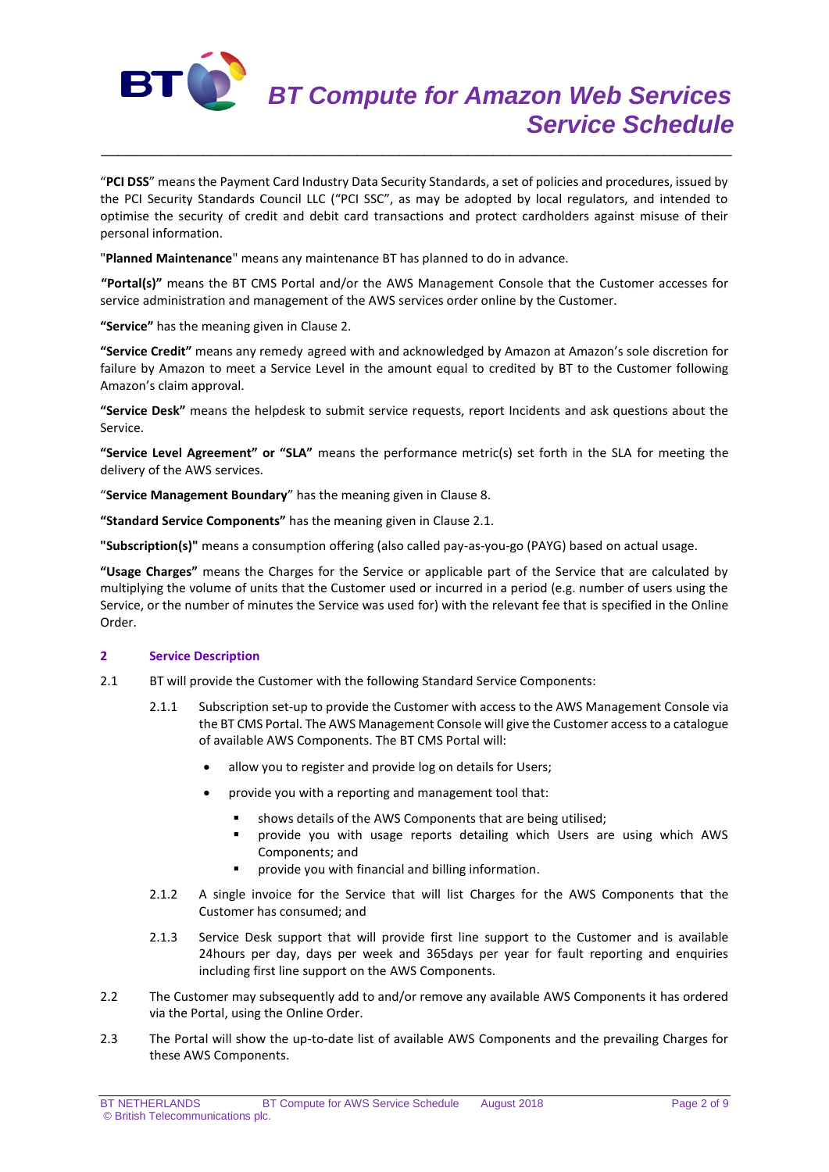

"**PCI DSS**" means the Payment Card Industry Data Security Standards, a set of policies and procedures, issued by the PCI Security Standards Council LLC ("PCI SSC", as may be adopted by local regulators, and intended to optimise the security of credit and debit card transactions and protect cardholders against misuse of their personal information.

\_\_\_\_\_\_\_\_\_\_\_\_\_\_\_\_\_\_\_\_\_\_\_\_\_\_\_\_\_\_\_\_\_\_\_\_\_\_\_\_\_\_\_\_\_\_\_\_\_\_\_\_\_\_\_\_\_\_\_\_\_\_\_\_\_\_\_\_\_\_\_\_\_\_

"**Planned Maintenance**" means any maintenance BT has planned to do in advance.

**"Portal(s)"** means the BT CMS Portal and/or the AWS Management Console that the Customer accesses for service administration and management of the AWS services order online by the Customer.

**"Service"** has the meaning given in Clause 2.

**"Service Credit"** means any remedy agreed with and acknowledged by Amazon at Amazon's sole discretion for failure by Amazon to meet a Service Level in the amount equal to credited by BT to the Customer following Amazon's claim approval.

**"Service Desk"** means the helpdesk to submit service requests, report Incidents and ask questions about the Service.

**"Service Level Agreement" or "SLA"** means the performance metric(s) set forth in the SLA for meeting the delivery of the AWS services.

"**Service Management Boundary**" has the meaning given in Clause 8.

**"Standard Service Components"** has the meaning given in Clause 2.1.

**"Subscription(s)"** means a consumption offering (also called pay-as-you-go (PAYG) based on actual usage.

**"Usage Charges"** means the Charges for the Service or applicable part of the Service that are calculated by multiplying the volume of units that the Customer used or incurred in a period (e.g. number of users using the Service, or the number of minutes the Service was used for) with the relevant fee that is specified in the Online Order.

# **2 Service Description**

- 2.1 BT will provide the Customer with the following Standard Service Components:
	- 2.1.1 Subscription set-up to provide the Customer with access to the AWS Management Console via the BT CMS Portal. The AWS Management Console will give the Customer access to a catalogue of available AWS Components. The BT CMS Portal will:
		- allow you to register and provide log on details for Users;
		- provide you with a reporting and management tool that:
			- shows details of the AWS Components that are being utilised;
			- provide you with usage reports detailing which Users are using which AWS Components; and
			- provide you with financial and billing information.
	- 2.1.2 A single invoice for the Service that will list Charges for the AWS Components that the Customer has consumed; and
	- 2.1.3 Service Desk support that will provide first line support to the Customer and is available 24hours per day, days per week and 365days per year for fault reporting and enquiries including first line support on the AWS Components.
- 2.2 The Customer may subsequently add to and/or remove any available AWS Components it has ordered via the Portal, using the Online Order.
- 2.3 The Portal will show the up-to-date list of available AWS Components and the prevailing Charges for these AWS Components.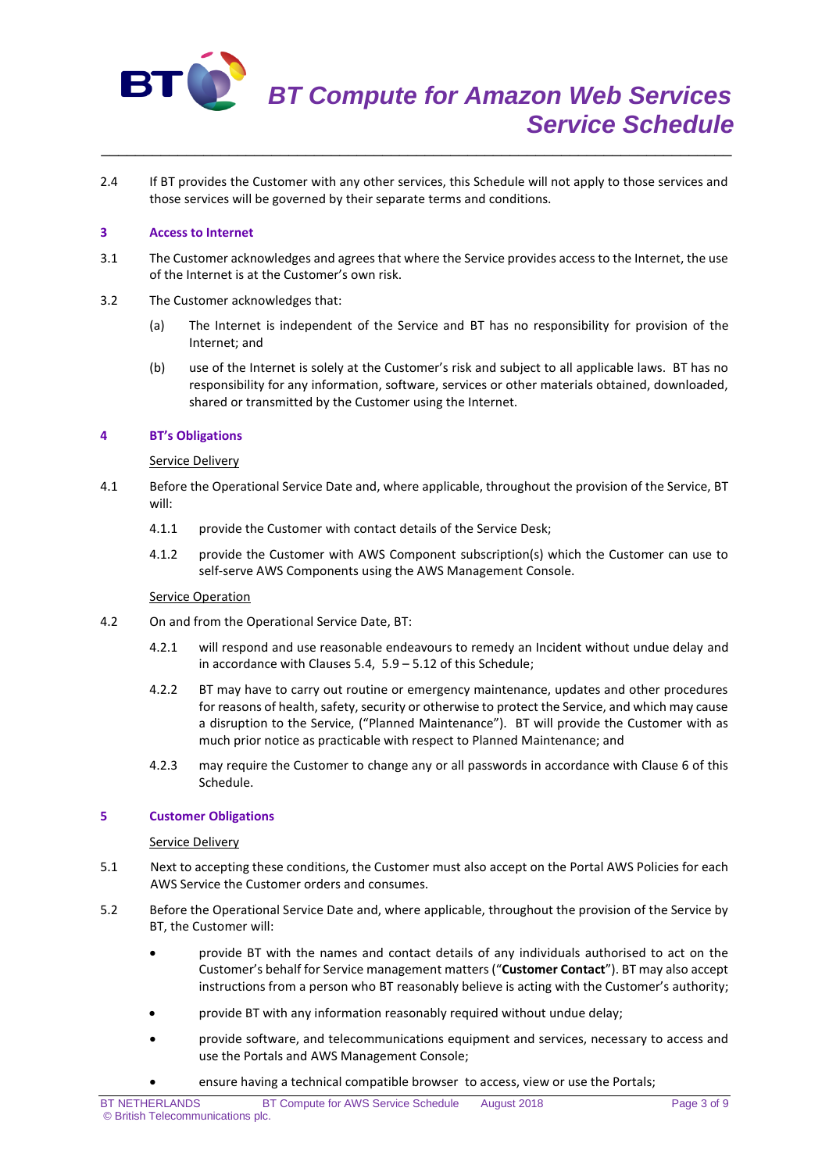

2.4 If BT provides the Customer with any other services, this Schedule will not apply to those services and those services will be governed by their separate terms and conditions.

\_\_\_\_\_\_\_\_\_\_\_\_\_\_\_\_\_\_\_\_\_\_\_\_\_\_\_\_\_\_\_\_\_\_\_\_\_\_\_\_\_\_\_\_\_\_\_\_\_\_\_\_\_\_\_\_\_\_\_\_\_\_\_\_\_\_\_\_\_\_\_\_\_\_

#### **3 Access to Internet**

- 3.1 The Customer acknowledges and agrees that where the Service provides access to the Internet, the use of the Internet is at the Customer's own risk.
- 3.2 The Customer acknowledges that:
	- (a) The Internet is independent of the Service and BT has no responsibility for provision of the Internet; and
	- (b) use of the Internet is solely at the Customer's risk and subject to all applicable laws. BT has no responsibility for any information, software, services or other materials obtained, downloaded, shared or transmitted by the Customer using the Internet.

### **4 BT's Obligations**

#### Service Delivery

- 4.1 Before the Operational Service Date and, where applicable, throughout the provision of the Service, BT will:
	- 4.1.1 provide the Customer with contact details of the Service Desk;
	- 4.1.2 provide the Customer with AWS Component subscription(s) which the Customer can use to self-serve AWS Components using the AWS Management Console.

#### **Service Operation**

- 4.2 On and from the Operational Service Date, BT:
	- 4.2.1 will respond and use reasonable endeavours to remedy an Incident without undue delay and in accordance with Clauses 5.4, 5.9 – 5.12 of this Schedule;
	- 4.2.2 BT may have to carry out routine or emergency maintenance, updates and other procedures for reasons of health, safety, security or otherwise to protect the Service, and which may cause a disruption to the Service, ("Planned Maintenance"). BT will provide the Customer with as much prior notice as practicable with respect to Planned Maintenance; and
	- 4.2.3 may require the Customer to change any or all passwords in accordance with Clause 6 of this Schedule.

#### **5 Customer Obligations**

#### Service Delivery

- 5.1 Next to accepting these conditions, the Customer must also accept on the Portal AWS Policies for each AWS Service the Customer orders and consumes.
- 5.2 Before the Operational Service Date and, where applicable, throughout the provision of the Service by BT, the Customer will:
	- provide BT with the names and contact details of any individuals authorised to act on the Customer's behalf for Service management matters ("**Customer Contact**"). BT may also accept instructions from a person who BT reasonably believe is acting with the Customer's authority;
	- provide BT with any information reasonably required without undue delay;
	- provide software, and telecommunications equipment and services, necessary to access and use the Portals and AWS Management Console;
		- ensure having a technical compatible browser to access, view or use the Portals;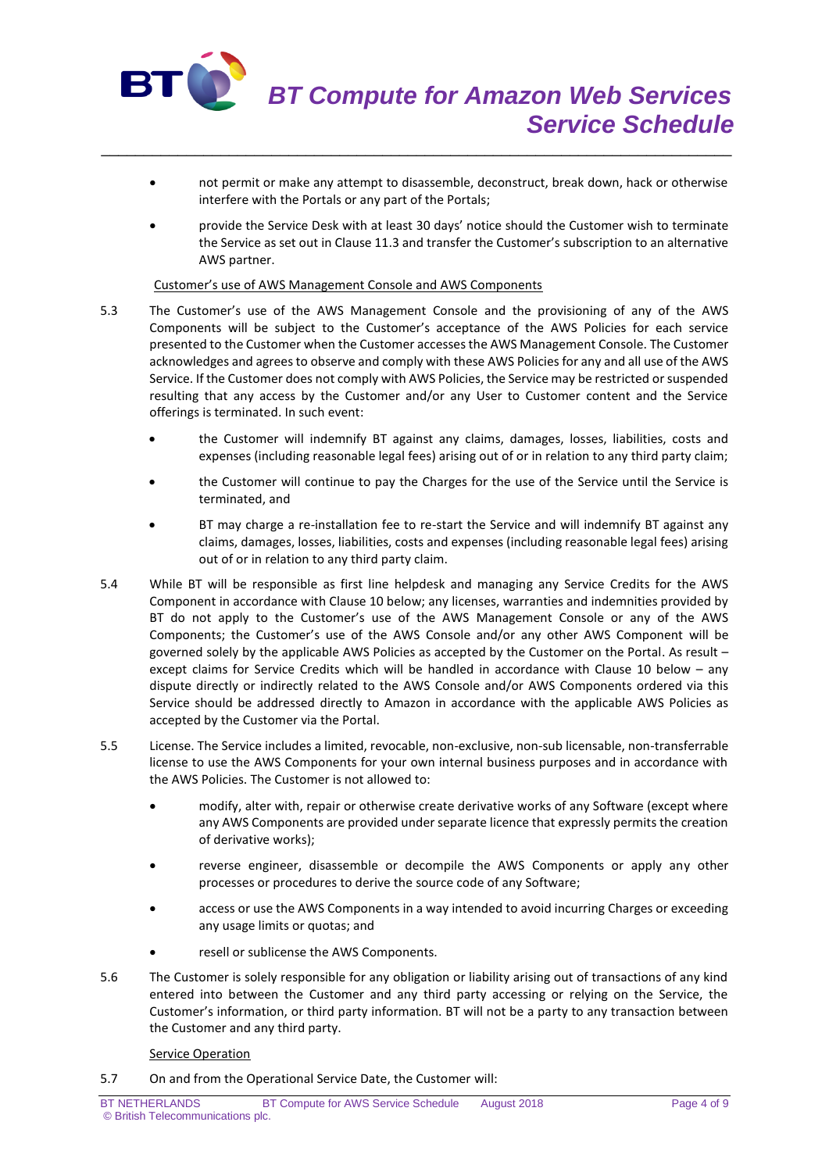

 not permit or make any attempt to disassemble, deconstruct, break down, hack or otherwise interfere with the Portals or any part of the Portals;

\_\_\_\_\_\_\_\_\_\_\_\_\_\_\_\_\_\_\_\_\_\_\_\_\_\_\_\_\_\_\_\_\_\_\_\_\_\_\_\_\_\_\_\_\_\_\_\_\_\_\_\_\_\_\_\_\_\_\_\_\_\_\_\_\_\_\_\_\_\_\_\_\_\_

 provide the Service Desk with at least 30 days' notice should the Customer wish to terminate the Service as set out in Clause 11.3 and transfer the Customer's subscription to an alternative AWS partner.

#### Customer's use of AWS Management Console and AWS Components

- 5.3 The Customer's use of the AWS Management Console and the provisioning of any of the AWS Components will be subject to the Customer's acceptance of the AWS Policies for each service presented to the Customer when the Customer accesses the AWS Management Console. The Customer acknowledges and agrees to observe and comply with these AWS Policies for any and all use of the AWS Service. If the Customer does not comply with AWS Policies, the Service may be restricted or suspended resulting that any access by the Customer and/or any User to Customer content and the Service offerings is terminated. In such event:
	- the Customer will indemnify BT against any claims, damages, losses, liabilities, costs and expenses (including reasonable legal fees) arising out of or in relation to any third party claim;
	- the Customer will continue to pay the Charges for the use of the Service until the Service is terminated, and
	- BT may charge a re-installation fee to re-start the Service and will indemnify BT against any claims, damages, losses, liabilities, costs and expenses (including reasonable legal fees) arising out of or in relation to any third party claim.
- 5.4 While BT will be responsible as first line helpdesk and managing any Service Credits for the AWS Component in accordance with Clause 10 below; any licenses, warranties and indemnities provided by BT do not apply to the Customer's use of the AWS Management Console or any of the AWS Components; the Customer's use of the AWS Console and/or any other AWS Component will be governed solely by the applicable AWS Policies as accepted by the Customer on the Portal. As result – except claims for Service Credits which will be handled in accordance with Clause 10 below – any dispute directly or indirectly related to the AWS Console and/or AWS Components ordered via this Service should be addressed directly to Amazon in accordance with the applicable AWS Policies as accepted by the Customer via the Portal.
- 5.5 License. The Service includes a limited, revocable, non-exclusive, non-sub licensable, non-transferrable license to use the AWS Components for your own internal business purposes and in accordance with the AWS Policies. The Customer is not allowed to:
	- modify, alter with, repair or otherwise create derivative works of any Software (except where any AWS Components are provided under separate licence that expressly permits the creation of derivative works);
	- reverse engineer, disassemble or decompile the AWS Components or apply any other processes or procedures to derive the source code of any Software;
	- access or use the AWS Components in a way intended to avoid incurring Charges or exceeding any usage limits or quotas; and
	- resell or sublicense the AWS Components.
- 5.6 The Customer is solely responsible for any obligation or liability arising out of transactions of any kind entered into between the Customer and any third party accessing or relying on the Service, the Customer's information, or third party information. BT will not be a party to any transaction between the Customer and any third party.

### **Service Operation**

5.7 On and from the Operational Service Date, the Customer will: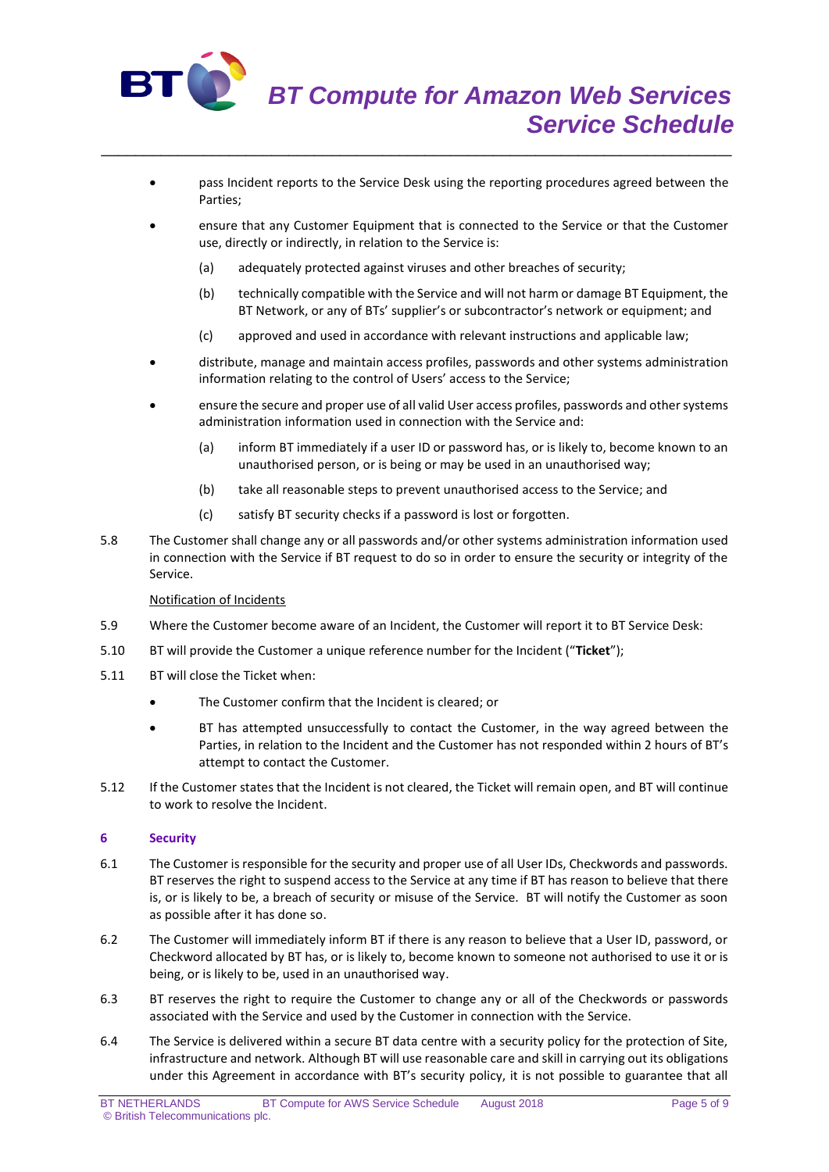

- pass Incident reports to the Service Desk using the reporting procedures agreed between the Parties;
- ensure that any Customer Equipment that is connected to the Service or that the Customer use, directly or indirectly, in relation to the Service is:
	- (a) adequately protected against viruses and other breaches of security;

\_\_\_\_\_\_\_\_\_\_\_\_\_\_\_\_\_\_\_\_\_\_\_\_\_\_\_\_\_\_\_\_\_\_\_\_\_\_\_\_\_\_\_\_\_\_\_\_\_\_\_\_\_\_\_\_\_\_\_\_\_\_\_\_\_\_\_\_\_\_\_\_\_\_

- (b) technically compatible with the Service and will not harm or damage BT Equipment, the BT Network, or any of BTs' supplier's or subcontractor's network or equipment; and
- (c) approved and used in accordance with relevant instructions and applicable law;
- distribute, manage and maintain access profiles, passwords and other systems administration information relating to the control of Users' access to the Service;
- ensure the secure and proper use of all valid User access profiles, passwords and other systems administration information used in connection with the Service and:
	- (a) inform BT immediately if a user ID or password has, or is likely to, become known to an unauthorised person, or is being or may be used in an unauthorised way;
	- (b) take all reasonable steps to prevent unauthorised access to the Service; and
	- (c) satisfy BT security checks if a password is lost or forgotten.
- 5.8 The Customer shall change any or all passwords and/or other systems administration information used in connection with the Service if BT request to do so in order to ensure the security or integrity of the Service.

### Notification of Incidents

- 5.9 Where the Customer become aware of an Incident, the Customer will report it to BT Service Desk:
- 5.10 BT will provide the Customer a unique reference number for the Incident ("**Ticket**");
- 5.11 BT will close the Ticket when:
	- The Customer confirm that the Incident is cleared; or
	- BT has attempted unsuccessfully to contact the Customer, in the way agreed between the Parties, in relation to the Incident and the Customer has not responded within 2 hours of BT's attempt to contact the Customer.
- 5.12 If the Customer states that the Incident is not cleared, the Ticket will remain open, and BT will continue to work to resolve the Incident.

### **6 Security**

- 6.1 The Customer is responsible for the security and proper use of all User IDs, Checkwords and passwords. BT reserves the right to suspend access to the Service at any time if BT has reason to believe that there is, or is likely to be, a breach of security or misuse of the Service. BT will notify the Customer as soon as possible after it has done so.
- 6.2 The Customer will immediately inform BT if there is any reason to believe that a User ID, password, or Checkword allocated by BT has, or is likely to, become known to someone not authorised to use it or is being, or is likely to be, used in an unauthorised way.
- 6.3 BT reserves the right to require the Customer to change any or all of the Checkwords or passwords associated with the Service and used by the Customer in connection with the Service.
- 6.4 The Service is delivered within a secure BT data centre with a security policy for the protection of Site, infrastructure and network. Although BT will use reasonable care and skill in carrying out its obligations under this Agreement in accordance with BT's security policy, it is not possible to guarantee that all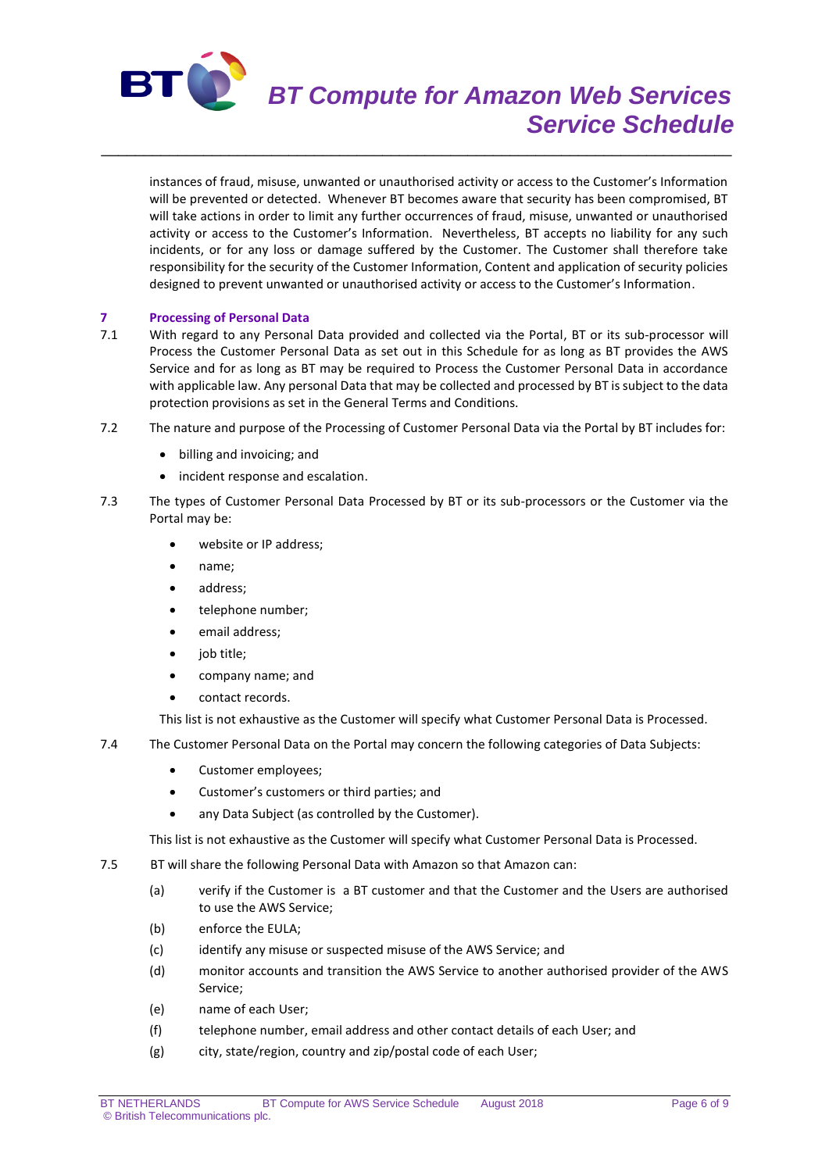

# *BT Compute for Amazon Web Services Service Schedule*

instances of fraud, misuse, unwanted or unauthorised activity or access to the Customer's Information will be prevented or detected. Whenever BT becomes aware that security has been compromised, BT will take actions in order to limit any further occurrences of fraud, misuse, unwanted or unauthorised activity or access to the Customer's Information. Nevertheless, BT accepts no liability for any such incidents, or for any loss or damage suffered by the Customer. The Customer shall therefore take responsibility for the security of the Customer Information, Content and application of security policies designed to prevent unwanted or unauthorised activity or access to the Customer's Information.

\_\_\_\_\_\_\_\_\_\_\_\_\_\_\_\_\_\_\_\_\_\_\_\_\_\_\_\_\_\_\_\_\_\_\_\_\_\_\_\_\_\_\_\_\_\_\_\_\_\_\_\_\_\_\_\_\_\_\_\_\_\_\_\_\_\_\_\_\_\_\_\_\_\_

# **7 Processing of Personal Data**<br>**71** With regard to any Personal

- With regard to any Personal Data provided and collected via the Portal, BT or its sub-processor will Process the Customer Personal Data as set out in this Schedule for as long as BT provides the AWS Service and for as long as BT may be required to Process the Customer Personal Data in accordance with applicable law. Any personal Data that may be collected and processed by BT is subject to the data protection provisions as set in the General Terms and Conditions.
- 7.2 The nature and purpose of the Processing of Customer Personal Data via the Portal by BT includes for:
	- billing and invoicing; and
	- incident response and escalation.
- 7.3 The types of Customer Personal Data Processed by BT or its sub-processors or the Customer via the Portal may be:
	- website or IP address;
	- name;
	- address;
	- telephone number;
	- email address;
	- job title;
	- company name; and
	- contact records.

This list is not exhaustive as the Customer will specify what Customer Personal Data is Processed.

- 7.4 The Customer Personal Data on the Portal may concern the following categories of Data Subjects:
	- Customer employees;
	- Customer's customers or third parties; and
	- any Data Subject (as controlled by the Customer).

This list is not exhaustive as the Customer will specify what Customer Personal Data is Processed.

- 7.5 BT will share the following Personal Data with Amazon so that Amazon can:
	- (a) verify if the Customer is a BT customer and that the Customer and the Users are authorised to use the AWS Service;
	- (b) enforce the EULA;
	- (c) identify any misuse or suspected misuse of the AWS Service; and
	- (d) monitor accounts and transition the AWS Service to another authorised provider of the AWS Service;
	- (e) name of each User;
	- (f) telephone number, email address and other contact details of each User; and
	- (g) city, state/region, country and zip/postal code of each User;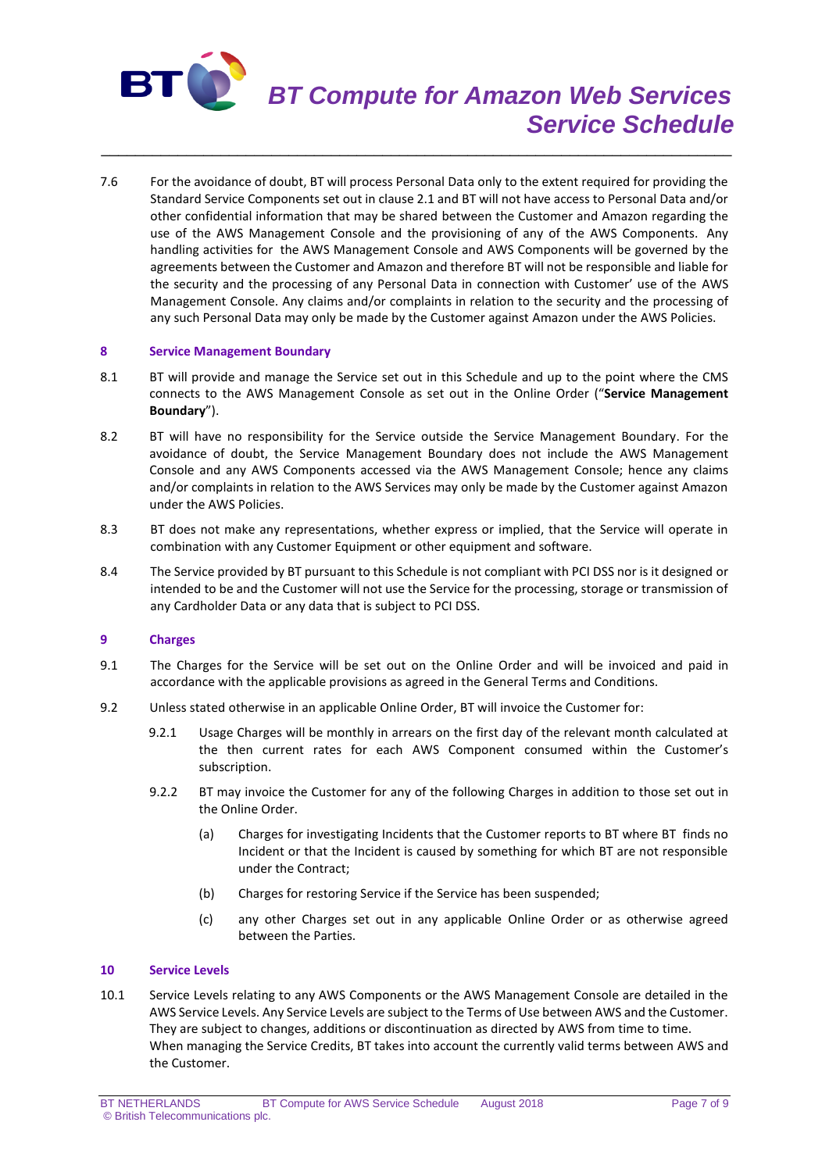

# *BT Compute for Amazon Web Services Service Schedule*

7.6 For the avoidance of doubt, BT will process Personal Data only to the extent required for providing the Standard Service Components set out in clause 2.1 and BT will not have access to Personal Data and/or other confidential information that may be shared between the Customer and Amazon regarding the use of the AWS Management Console and the provisioning of any of the AWS Components. Any handling activities for the AWS Management Console and AWS Components will be governed by the agreements between the Customer and Amazon and therefore BT will not be responsible and liable for the security and the processing of any Personal Data in connection with Customer' use of the AWS Management Console. Any claims and/or complaints in relation to the security and the processing of any such Personal Data may only be made by the Customer against Amazon under the AWS Policies.

\_\_\_\_\_\_\_\_\_\_\_\_\_\_\_\_\_\_\_\_\_\_\_\_\_\_\_\_\_\_\_\_\_\_\_\_\_\_\_\_\_\_\_\_\_\_\_\_\_\_\_\_\_\_\_\_\_\_\_\_\_\_\_\_\_\_\_\_\_\_\_\_\_\_

#### **8 Service Management Boundary**

- 8.1 BT will provide and manage the Service set out in this Schedule and up to the point where the CMS connects to the AWS Management Console as set out in the Online Order ("**Service Management Boundary**").
- 8.2 BT will have no responsibility for the Service outside the Service Management Boundary. For the avoidance of doubt, the Service Management Boundary does not include the AWS Management Console and any AWS Components accessed via the AWS Management Console; hence any claims and/or complaints in relation to the AWS Services may only be made by the Customer against Amazon under the AWS Policies.
- 8.3 BT does not make any representations, whether express or implied, that the Service will operate in combination with any Customer Equipment or other equipment and software.
- 8.4 The Service provided by BT pursuant to this Schedule is not compliant with PCI DSS nor is it designed or intended to be and the Customer will not use the Service for the processing, storage or transmission of any Cardholder Data or any data that is subject to PCI DSS.

#### **9 Charges**

- 9.1 The Charges for the Service will be set out on the Online Order and will be invoiced and paid in accordance with the applicable provisions as agreed in the General Terms and Conditions.
- 9.2 Unless stated otherwise in an applicable Online Order, BT will invoice the Customer for:
	- 9.2.1 Usage Charges will be monthly in arrears on the first day of the relevant month calculated at the then current rates for each AWS Component consumed within the Customer's subscription.
	- 9.2.2 BT may invoice the Customer for any of the following Charges in addition to those set out in the Online Order.
		- (a) Charges for investigating Incidents that the Customer reports to BT where BT finds no Incident or that the Incident is caused by something for which BT are not responsible under the Contract;
		- (b) Charges for restoring Service if the Service has been suspended;
		- (c) any other Charges set out in any applicable Online Order or as otherwise agreed between the Parties.

# **10 Service Levels**

10.1 Service Levels relating to any AWS Components or the AWS Management Console are detailed in the AWS Service Levels. Any Service Levels are subject to the Terms of Use between AWS and the Customer. They are subject to changes, additions or discontinuation as directed by AWS from time to time. When managing the Service Credits, BT takes into account the currently valid terms between AWS and the Customer.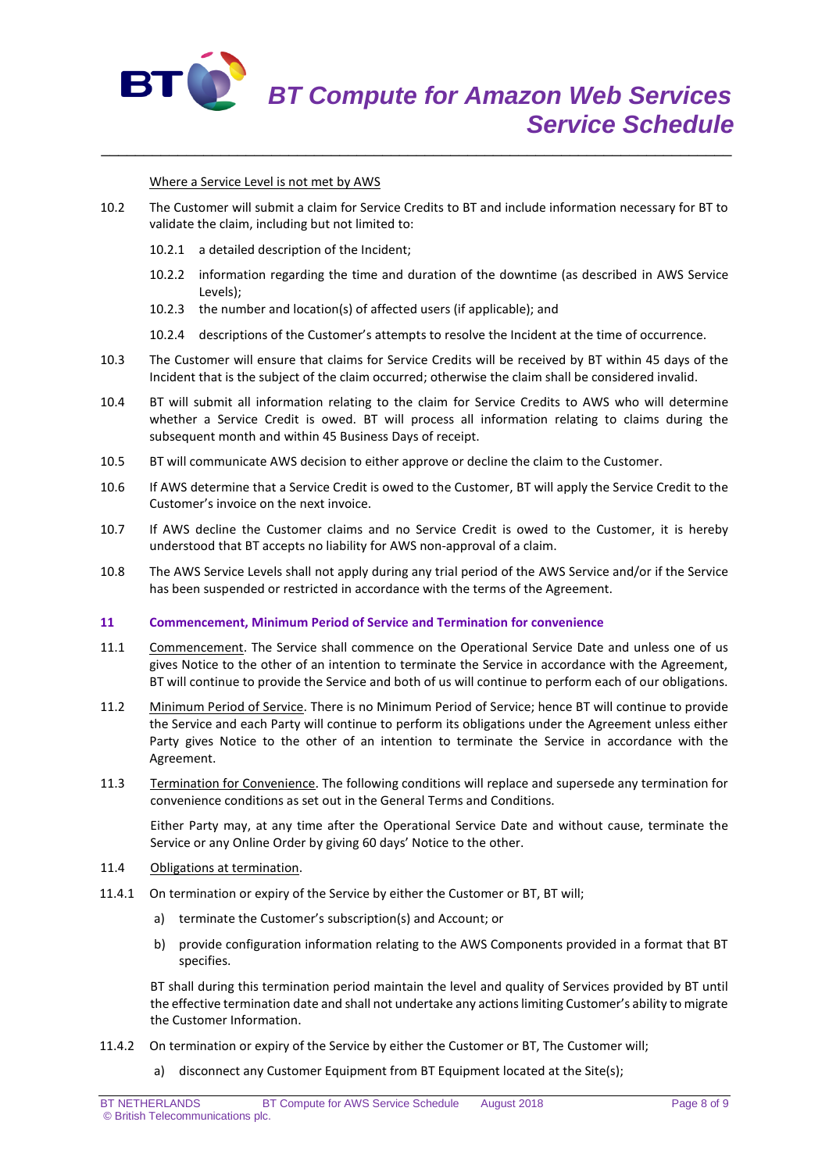

Where a Service Level is not met by AWS

10.2 The Customer will submit a claim for Service Credits to BT and include information necessary for BT to validate the claim, including but not limited to:

\_\_\_\_\_\_\_\_\_\_\_\_\_\_\_\_\_\_\_\_\_\_\_\_\_\_\_\_\_\_\_\_\_\_\_\_\_\_\_\_\_\_\_\_\_\_\_\_\_\_\_\_\_\_\_\_\_\_\_\_\_\_\_\_\_\_\_\_\_\_\_\_\_\_

- 10.2.1 a detailed description of the Incident;
- 10.2.2 information regarding the time and duration of the downtime (as described in AWS Service Levels);
- 10.2.3 the number and location(s) of affected users (if applicable); and
- 10.2.4 descriptions of the Customer's attempts to resolve the Incident at the time of occurrence.
- 10.3 The Customer will ensure that claims for Service Credits will be received by BT within 45 days of the Incident that is the subject of the claim occurred; otherwise the claim shall be considered invalid.
- 10.4 BT will submit all information relating to the claim for Service Credits to AWS who will determine whether a Service Credit is owed. BT will process all information relating to claims during the subsequent month and within 45 Business Days of receipt.
- 10.5 BT will communicate AWS decision to either approve or decline the claim to the Customer.
- 10.6 If AWS determine that a Service Credit is owed to the Customer, BT will apply the Service Credit to the Customer's invoice on the next invoice.
- 10.7 If AWS decline the Customer claims and no Service Credit is owed to the Customer, it is hereby understood that BT accepts no liability for AWS non-approval of a claim.
- 10.8 The AWS Service Levels shall not apply during any trial period of the AWS Service and/or if the Service has been suspended or restricted in accordance with the terms of the Agreement.

#### **11 Commencement, Minimum Period of Service and Termination for convenience**

- 11.1 Commencement. The Service shall commence on the Operational Service Date and unless one of us gives Notice to the other of an intention to terminate the Service in accordance with the Agreement, BT will continue to provide the Service and both of us will continue to perform each of our obligations.
- 11.2 Minimum Period of Service. There is no Minimum Period of Service; hence BT will continue to provide the Service and each Party will continue to perform its obligations under the Agreement unless either Party gives Notice to the other of an intention to terminate the Service in accordance with the Agreement.
- 11.3 Termination for Convenience. The following conditions will replace and supersede any termination for convenience conditions as set out in the General Terms and Conditions.

Either Party may, at any time after the Operational Service Date and without cause, terminate the Service or any Online Order by giving 60 days' Notice to the other.

- 11.4 Obligations at termination.
- 11.4.1 On termination or expiry of the Service by either the Customer or BT, BT will;
	- a) terminate the Customer's subscription(s) and Account; or
	- b) provide configuration information relating to the AWS Components provided in a format that BT specifies.

BT shall during this termination period maintain the level and quality of Services provided by BT until the effective termination date and shall not undertake any actions limiting Customer's ability to migrate the Customer Information.

- 11.4.2 On termination or expiry of the Service by either the Customer or BT, The Customer will;
	- a) disconnect any Customer Equipment from BT Equipment located at the Site(s);